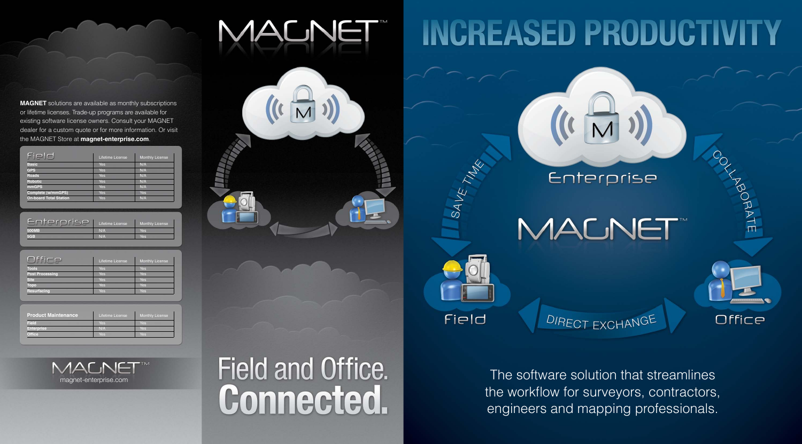The software solution that streamlines the workflow for surveyors, contractors, engineers and mapping professionals.

#### Enterprise

ABORATE

Office

SAVE MARK

Field

#### **MAUNET**

DIRECT EXCHANGE

| Field                         | Lifetime License | <b>Monthly License</b> |
|-------------------------------|------------------|------------------------|
| <b>Basic</b>                  | Yes              | N/A                    |
| <b>GPS</b>                    | Yes              | N/A                    |
| <b>Roads</b>                  | <b>Yes</b>       | N/A                    |
| <b>Robotic</b>                | <b>Yes</b>       | N/A                    |
| mmGPS <sup>'</sup>            | Yes              | N/A                    |
| Complete (w/mmGPS)            | Yes.             | Yes.                   |
| <b>On-board Total Station</b> | Yes              | N/A                    |



## **ALNET**



### Field and Office. **Connected.**

# **INCREASED PRODUCTIVITY**

|              | Lifetime License | <b>Monthly License</b> |
|--------------|------------------|------------------------|
| <b>500MB</b> | N/A              | Yes                    |
| 5GB          | N/A              | Yes                    |

|                        | Lifetime License | <b>Monthly License</b> |
|------------------------|------------------|------------------------|
| <b>Tools</b>           | Yes.             | <b>Yes</b>             |
| <b>Post Processing</b> | Yes              | <b>Yes</b>             |
| <b>Site</b>            | Yes              | <b>Yes</b>             |
| <b>Topo</b>            | Yes              | Yes                    |
| <b>Resurfacing</b>     | Yes              | Yes                    |

| <b>Product Maintenance</b> | Lifetime License | <b>Monthly License</b> |
|----------------------------|------------------|------------------------|
| <b>Field</b>               | Yes              | Yes                    |
| <b>Enterprise</b>          | N/A              | Yes                    |
| <b>Office</b>              | Yes              | Yes                    |

**MAGNET** solutions are available as monthly subscriptions or lifetime licenses. Trade-up programs are available for existing software license owners. Consult your MAGNET dealer for a custom quote or for more information. Or visit the MAGNET Store at **magnet-enterprise.com**.